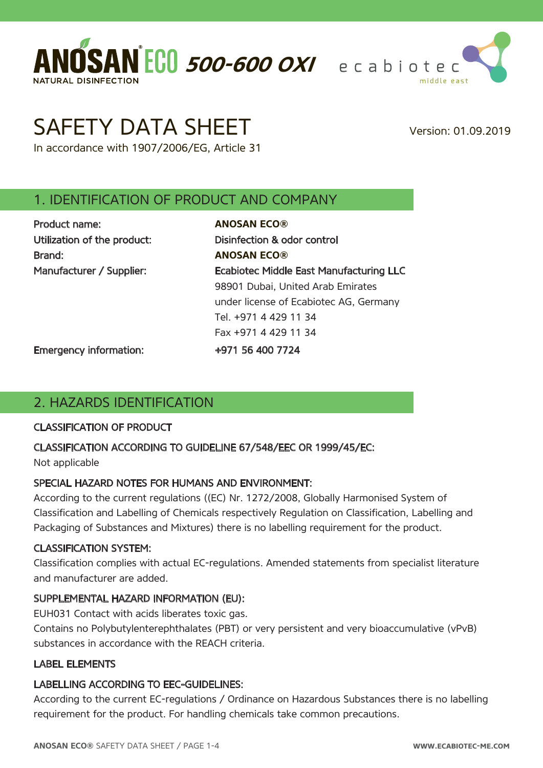



# SAFETY DATA SHEET Version: 01.09.2019

In accordance with 1907/2006/EG, Article 31

# 1. IDENTIFICATION OF PRODUCT AND COMPANY

Product name: **ANOSAN ECO®** Brand: **ANOSAN ECO®**

Utilization of the product: Disinfection & odor control Manufacturer / Supplier: Ecabiotec Middle East Manufacturing LLC 98901 Dubai, United Arab Emirates under license of Ecabiotec AG, Germany Tel. +971 4 429 11 34 Fax +971 4 429 11 34

Emergency information: +971 56 400 7724

## 2. HAZARDS IDENTIFICATION

#### CLASSIFICATION OF PRODUCT

#### CLASSIFICATION ACCORDING TO GUIDELINE 67/548/EEC OR 1999/45/EC:

Not applicable

#### SPECIAL HAZARD NOTES FOR HUMANS AND ENVIRONMENT:

According to the current regulations ((EC) Nr. 1272/2008, Globally Harmonised System of Classification and Labelling of Chemicals respectively Regulation on Classification, Labelling and Packaging of Substances and Mixtures) there is no labelling requirement for the product.

#### CLASSIFICATION SYSTEM:

Classification complies with actual EC-regulations. Amended statements from specialist literature and manufacturer are added.

#### SUPPLEMENTAL HAZARD INFORMATION (EU):

EUH031 Contact with acids liberates toxic gas.

Contains no Polybutylenterephthalates (PBT) or very persistent and very bioaccumulative (vPvB) substances in accordance with the REACH criteria.

#### LABEL ELEMENTS

#### LABELLING ACCORDING TO EEC-GUIDELINES:

According to the current EC-regulations / Ordinance on Hazardous Substances there is no labelling requirement for the product. For handling chemicals take common precautions.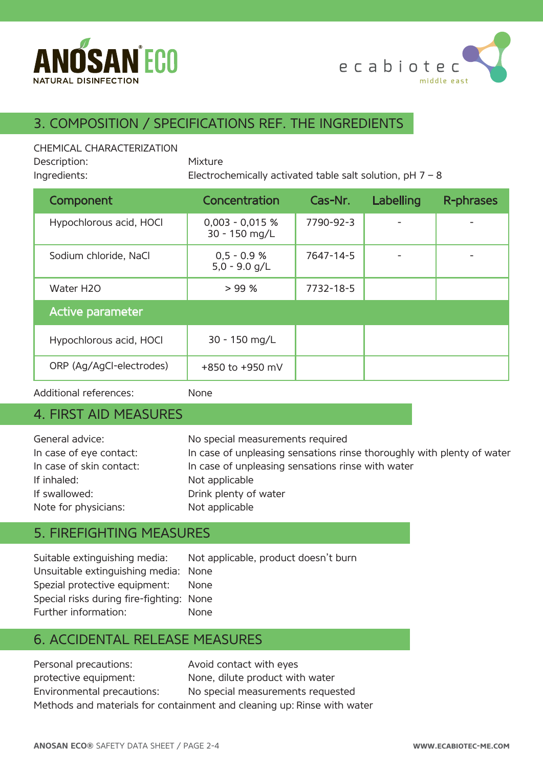



# 3. COMPOSITION / SPECIFICATIONS REF. THE INGREDIENTS

#### CHEMICAL CHARACTERIZATION

Description: Mixture

Ingredients: Electrochemically activated table salt solution, pH 7 – 8

| Component                | Concentration                      | Cas-Nr.   | Labelling | R-phrases |
|--------------------------|------------------------------------|-----------|-----------|-----------|
| Hypochlorous acid, HOCl  | $0,003 - 0,015 %$<br>30 - 150 mg/L | 7790-92-3 |           |           |
| Sodium chloride, NaCl    | $0.5 - 0.9 %$<br>$5,0 - 9.0$ g/L   | 7647-14-5 |           |           |
| Water H2O                | > 99%                              | 7732-18-5 |           |           |
| Active parameter         |                                    |           |           |           |
| Hypochlorous acid, HOCl  | 30 - 150 mg/L                      |           |           |           |
| ORP (Ag/AgCl-electrodes) | +850 to +950 mV                    |           |           |           |

Additional references: None

## 4. FIRST AID MEASURES

| General advice:          | No special measurements required                                       |
|--------------------------|------------------------------------------------------------------------|
| In case of eye contact:  | In case of unpleasing sensations rinse thoroughly with plenty of water |
| In case of skin contact: | In case of unpleasing sensations rinse with water                      |
| If inhaled:              | Not applicable                                                         |
| If swallowed:            | Drink plenty of water                                                  |
| Note for physicians:     | Not applicable                                                         |

## 5. FIREFIGHTING MEASURES

Suitable extinguishing media: Not applicable, product doesn't burn Unsuitable extinguishing media: None Spezial protective equipment: None Special risks during fire-fighting: None Further information: None

## 6. ACCIDENTAL RELEASE MEASURES

Personal precautions: Avoid contact with eyes protective equipment: None, dilute product with water Environmental precautions: No special measurements requested Methods and materials for containment and cleaning up: Rinse with water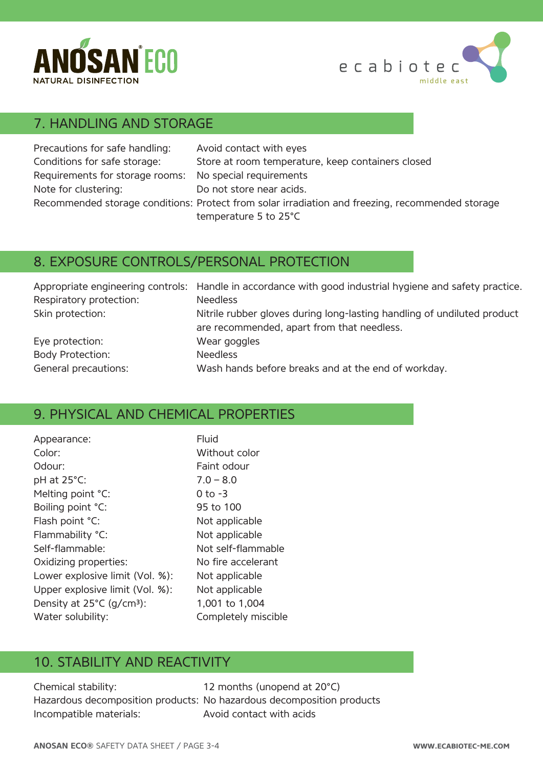



# 7. HANDLING AND STORAGE

| Precautions for safe handling:                          | Avoid contact with eyes                                                                          |
|---------------------------------------------------------|--------------------------------------------------------------------------------------------------|
| Conditions for safe storage:                            | Store at room temperature, keep containers closed                                                |
| Requirements for storage rooms: No special requirements |                                                                                                  |
| Note for clustering:                                    | Do not store near acids.                                                                         |
|                                                         | Recommended storage conditions: Protect from solar irradiation and freezing, recommended storage |
|                                                         | temperature 5 to 25°C                                                                            |

## 8. EXPOSURE CONTROLS/PERSONAL PROTECTION

|                         | Appropriate engineering controls: Handle in accordance with good industrial hygiene and safety practice. |
|-------------------------|----------------------------------------------------------------------------------------------------------|
| Respiratory protection: | <b>Needless</b>                                                                                          |
| Skin protection:        | Nitrile rubber gloves during long-lasting handling of undiluted product                                  |
|                         | are recommended, apart from that needless.                                                               |
| Eye protection:         | Wear goggles                                                                                             |
| <b>Body Protection:</b> | <b>Needless</b>                                                                                          |
| General precautions:    | Wash hands before breaks and at the end of workday.                                                      |
|                         |                                                                                                          |

## 9. PHYSICAL AND CHEMICAL PROPERTIES

Appearance: Fluid Color: Without color Odour: Faint odour pH at 25°C: 7.0 – 8.0 Melting point °C: 0 to -3 Boiling point °C: 95 to 100 Flash point °C: Not applicable Flammability °C: Not applicable Self-flammable: Not self-flammable Oxidizing properties: No fire accelerant Lower explosive limit (Vol. %): Not applicable Upper explosive limit (Vol. %): Not applicable Density at 25°C (g/cm<sup>3</sup>): 1,001 to 1,004 Water solubility: Completely miscible

# 10. STABILITY AND REACTIVITY

Chemical stability: 12 months (unopend at 20°C) Incompatible materials: Avoid contact with acids

Hazardous decomposition products: No hazardous decomposition products